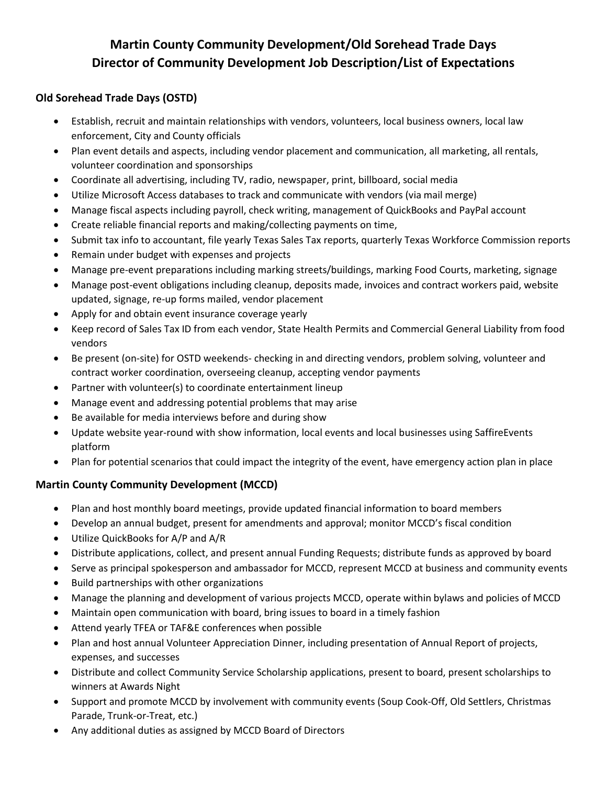## **Martin County Community Development/Old Sorehead Trade Days Director of Community Development Job Description/List of Expectations**

## **Old Sorehead Trade Days (OSTD)**

- Establish, recruit and maintain relationships with vendors, volunteers, local business owners, local law enforcement, City and County officials
- Plan event details and aspects, including vendor placement and communication, all marketing, all rentals, volunteer coordination and sponsorships
- Coordinate all advertising, including TV, radio, newspaper, print, billboard, social media
- Utilize Microsoft Access databases to track and communicate with vendors (via mail merge)
- Manage fiscal aspects including payroll, check writing, management of QuickBooks and PayPal account
- Create reliable financial reports and making/collecting payments on time,
- Submit tax info to accountant, file yearly Texas Sales Tax reports, quarterly Texas Workforce Commission reports
- Remain under budget with expenses and projects
- Manage pre-event preparations including marking streets/buildings, marking Food Courts, marketing, signage
- Manage post-event obligations including cleanup, deposits made, invoices and contract workers paid, website updated, signage, re-up forms mailed, vendor placement
- Apply for and obtain event insurance coverage yearly
- Keep record of Sales Tax ID from each vendor, State Health Permits and Commercial General Liability from food vendors
- Be present (on-site) for OSTD weekends- checking in and directing vendors, problem solving, volunteer and contract worker coordination, overseeing cleanup, accepting vendor payments
- Partner with volunteer(s) to coordinate entertainment lineup
- Manage event and addressing potential problems that may arise
- Be available for media interviews before and during show
- Update website year-round with show information, local events and local businesses using SaffireEvents platform
- Plan for potential scenarios that could impact the integrity of the event, have emergency action plan in place

## **Martin County Community Development (MCCD)**

- Plan and host monthly board meetings, provide updated financial information to board members
- Develop an annual budget, present for amendments and approval; monitor MCCD's fiscal condition
- Utilize QuickBooks for A/P and A/R
- Distribute applications, collect, and present annual Funding Requests; distribute funds as approved by board
- Serve as principal spokesperson and ambassador for MCCD, represent MCCD at business and community events
- Build partnerships with other organizations
- Manage the planning and development of various projects MCCD, operate within bylaws and policies of MCCD
- Maintain open communication with board, bring issues to board in a timely fashion
- Attend yearly TFEA or TAF&E conferences when possible
- Plan and host annual Volunteer Appreciation Dinner, including presentation of Annual Report of projects, expenses, and successes
- Distribute and collect Community Service Scholarship applications, present to board, present scholarships to winners at Awards Night
- Support and promote MCCD by involvement with community events (Soup Cook-Off, Old Settlers, Christmas Parade, Trunk-or-Treat, etc.)
- Any additional duties as assigned by MCCD Board of Directors